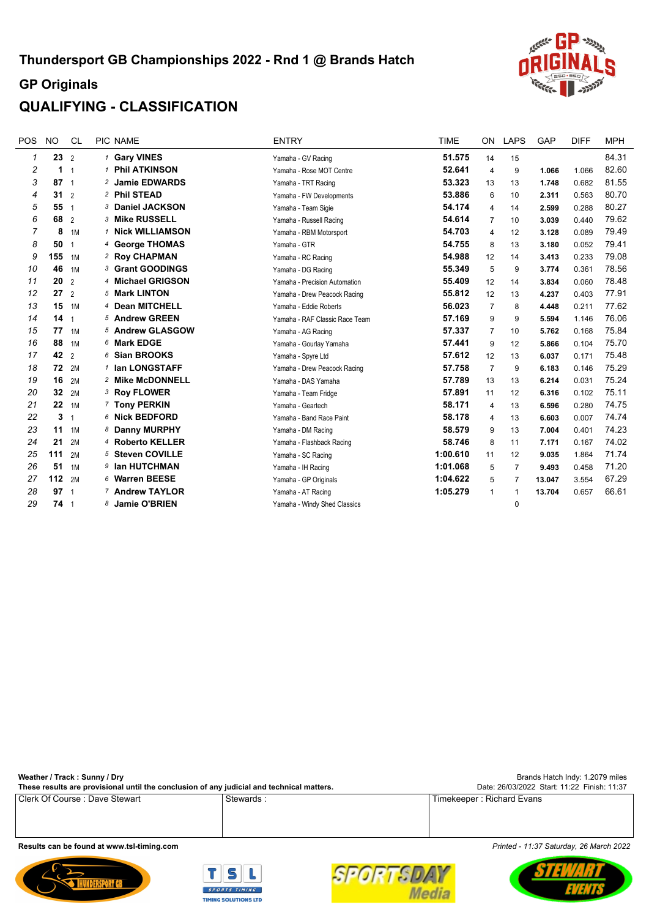

# **QUALIFYING - CLASSIFICATION**

| <b>POS</b> | <b>NO</b>       | <b>CL</b>      | PIC NAME                | <b>ENTRY</b>                   | <b>TIME</b> | <b>ON</b>      | <b>LAPS</b>    | GAP    | <b>DIFF</b> | <b>MPH</b> |
|------------|-----------------|----------------|-------------------------|--------------------------------|-------------|----------------|----------------|--------|-------------|------------|
| 1          | $23^{2}$        |                | 1 Gary VINES            | Yamaha - GV Racing             | 51.575      | 14             | 15             |        |             | 84.31      |
| 2          | 1.              | -1             | 1 Phil ATKINSON         | Yamaha - Rose MOT Centre       | 52.641      | $\overline{4}$ | 9              | 1.066  | 1.066       | 82.60      |
| 3          | $87 \t1$        |                | 2 Jamie EDWARDS         | Yamaha - TRT Racing            | 53.323      | 13             | 13             | 1.748  | 0.682       | 81.55      |
| 4          | 31              | $\overline{2}$ | 2 Phil STEAD            | Yamaha - FW Developments       | 53.886      | 6              | 10             | 2.311  | 0.563       | 80.70      |
| 5          | 5511            |                | 3 Daniel JACKSON        | Yamaha - Team Sigie            | 54.174      | 4              | 14             | 2.599  | 0.288       | 80.27      |
| 6          | 68 2            |                | 3 Mike RUSSELL          | Yamaha - Russell Racing        | 54.614      | $\overline{7}$ | 10             | 3.039  | 0.440       | 79.62      |
| 7          | 8               | 1M             | 1 Nick WILLIAMSON       | Yamaha - RBM Motorsport        | 54.703      | 4              | 12             | 3.128  | 0.089       | 79.49      |
| 8          | 50              | $\overline{1}$ | 4 George THOMAS         | Yamaha - GTR                   | 54.755      | 8              | 13             | 3.180  | 0.052       | 79.41      |
| 9          | 155             | 1M             | 2 Roy CHAPMAN           | Yamaha - RC Racing             | 54.988      | 12             | 14             | 3.413  | 0.233       | 79.08      |
| 10         | 46              | 1M             | <b>3 Grant GOODINGS</b> | Yamaha - DG Racing             | 55.349      | 5              | 9              | 3.774  | 0.361       | 78.56      |
| 11         | 20              | $\overline{2}$ | 4 Michael GRIGSON       | Yamaha - Precision Automation  | 55.409      | 12             | 14             | 3.834  | 0.060       | 78.48      |
| 12         | 27              | $\overline{2}$ | 5 Mark LINTON           | Yamaha - Drew Peacock Racing   | 55.812      | 12             | 13             | 4.237  | 0.403       | 77.91      |
| 13         | 15              | 1M             | 4 Dean MITCHELL         | Yamaha - Eddie Roberts         | 56.023      | $\overline{7}$ | 8              | 4.448  | 0.211       | 77.62      |
| 14         | 14 <sub>1</sub> |                | 5 Andrew GREEN          | Yamaha - RAF Classic Race Team | 57.169      | 9              | 9              | 5.594  | 1.146       | 76.06      |
| 15         | 77              | 1M             | 5 Andrew GLASGOW        | Yamaha - AG Racing             | 57.337      | $\overline{7}$ | 10             | 5.762  | 0.168       | 75.84      |
| 16         | 88              | 1M             | 6 Mark EDGE             | Yamaha - Gourlay Yamaha        | 57.441      | 9              | 12             | 5.866  | 0.104       | 75.70      |
| 17         | 42              | $\overline{2}$ | 6 Sian BROOKS           | Yamaha - Spyre Ltd             | 57.612      | 12             | 13             | 6.037  | 0.171       | 75.48      |
| 18         | 72              | 2M             | 1 Ian LONGSTAFF         | Yamaha - Drew Peacock Racing   | 57.758      | $\overline{7}$ | 9              | 6.183  | 0.146       | 75.29      |
| 19         | 16              | 2M             | 2 Mike McDONNELL        | Yamaha - DAS Yamaha            | 57.789      | 13             | 13             | 6.214  | 0.031       | 75.24      |
| 20         | 32              | 2M             | 3 Roy FLOWER            | Yamaha - Team Fridge           | 57.891      | 11             | 12             | 6.316  | 0.102       | 75.11      |
| 21         | 22              | 1M             | 7 Tony PERKIN           | Yamaha - Geartech              | 58.171      | 4              | 13             | 6.596  | 0.280       | 74.75      |
| 22         | 3               | 1              | 6 Nick BEDFORD          | Yamaha - Band Race Paint       | 58.178      | 4              | 13             | 6.603  | 0.007       | 74.74      |
| 23         | 11              | 1M             | 8 Danny MURPHY          | Yamaha - DM Racing             | 58.579      | 9              | 13             | 7.004  | 0.401       | 74.23      |
| 24         | 21              | 2M             | 4 Roberto KELLER        | Yamaha - Flashback Racing      | 58.746      | 8              | 11             | 7.171  | 0.167       | 74.02      |
| 25         | 111             | 2M             | 5 Steven COVILLE        | Yamaha - SC Racing             | 1:00.610    | 11             | 12             | 9.035  | 1.864       | 71.74      |
| 26         | 51              | 1M             | 9 Ian HUTCHMAN          | Yamaha - IH Racing             | 1:01.068    | 5              | 7              | 9.493  | 0.458       | 71.20      |
| 27         | 112             | 2M             | 6 Warren BEESE          | Yamaha - GP Originals          | 1:04.622    | 5              | $\overline{7}$ | 13.047 | 3.554       | 67.29      |
| 28         | 97 <sub>1</sub> |                | 7 Andrew TAYLOR         | Yamaha - AT Racing             | 1:05.279    | $\mathbf{1}$   | $\mathbf{1}$   | 13.704 | 0.657       | 66.61      |
| 29         | $74 \t1$        |                | 8 Jamie O'BRIEN         | Yamaha - Windy Shed Classics   |             |                | $\mathbf 0$    |        |             |            |

[Brands Hatch Indy: 1.2079 miles](http://www.tsl-timing.com) **[These results are provisional until the conclusion of any judicial and technical matters.](http://www.tsl-timing.com) [Weather / Track : Sunny / Dry](http://www.tsl-timing.com)** [Date: 26/03/2022 Start: 11:22 Finish: 11:37](http://www.tsl-timing.com)

[Clerk Of Course : Dave Stewart](http://www.tsl-timing.com) Stewards : [Stewards : Timekeeper : Richard Evans](http://www.tsl-timing.com)









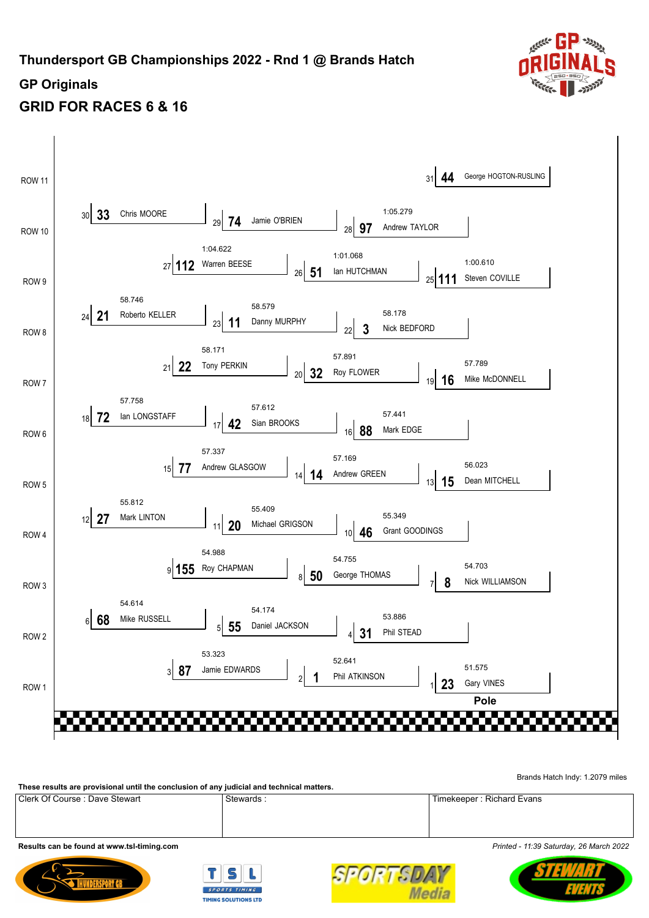

## **GRID FOR RACES 6 & 16**



[Brands Hatch Indy: 1.2079 miles](http://www.tsl-timing.com)

[Clerk Of Course : Dave Stewart](http://www.tsl-timing.com) Stewards : [Stewards : Timekeeper : Richard Evans](http://www.tsl-timing.com) **[These results are provisional until the conclusion of any judicial and technical matters.](http://www.tsl-timing.com)**

**[Results can be found at www.tsl-timing.com](http://www.tsl-timing.com)** *[Printed - 11:39 Saturday, 26 March 2022](http://www.tsl-timing.com)*





SPORTSL **Media** 

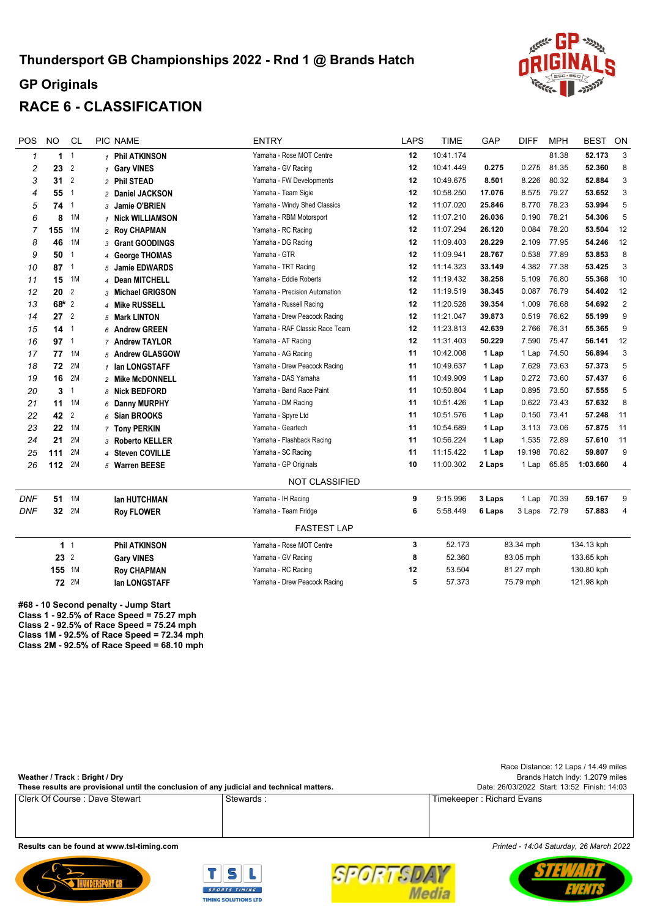

# **RACE 6 - CLASSIFICATION**

| <b>POS</b>     | <b>NO</b>       | <b>CL</b>      | PIC NAME             | <b>ENTRY</b>                   | <b>LAPS</b> | <b>TIME</b> | GAP    | <b>DIFF</b>  | <b>MPH</b>  | <b>BEST</b> | ON             |
|----------------|-----------------|----------------|----------------------|--------------------------------|-------------|-------------|--------|--------------|-------------|-------------|----------------|
| $\mathbf{1}$   |                 | 1 <sup>1</sup> | 1 Phil ATKINSON      | Yamaha - Rose MOT Centre       | 12          | 10:41.174   |        |              | 81.38       | 52.173      | 3              |
| 2              | 23              | $\overline{2}$ | 1 Gary VINES         | Yamaha - GV Racing             | 12          | 10:41.449   | 0.275  | 0.275        | 81.35       | 52.360      | 8              |
| 3              | 31              | $\overline{2}$ | 2 Phil STEAD         | Yamaha - FW Developments       | 12          | 10:49.675   | 8.501  | 8.226        | 80.32       | 52.884      | 3              |
| $\overline{4}$ | 55              | $\overline{1}$ | 2 Daniel JACKSON     | Yamaha - Team Sigie            | 12          | 10:58.250   | 17.076 | 8.575        | 79.27       | 53.652      | 3              |
| 5              | 74              | $\overline{1}$ | 3 Jamie O'BRIEN      | Yamaha - Windy Shed Classics   | 12          | 11:07.020   | 25.846 | 8.770        | 78.23       | 53.994      | 5              |
| 6              | 8               | 1M             | 1 Nick WILLIAMSON    | Yamaha - RBM Motorsport        | 12          | 11:07.210   | 26.036 | 0.190        | 78.21       | 54.306      | 5              |
| $\overline{7}$ | 155             | 1M             | 2 Roy CHAPMAN        | Yamaha - RC Racing             | 12          | 11:07.294   | 26.120 | 0.084        | 78.20       | 53.504      | 12             |
| 8              | 46              | 1M             | 3 Grant GOODINGS     | Yamaha - DG Racing             | 12          | 11:09.403   | 28.229 | 2.109        | 77.95       | 54.246      | 12             |
| 9              | 50              | $\overline{1}$ | 4 George THOMAS      | Yamaha - GTR                   | 12          | 11:09.941   | 28.767 | 0.538        | 77.89       | 53.853      | 8              |
| 10             | $87 \t1$        |                | 5 Jamie EDWARDS      | Yamaha - TRT Racing            | 12          | 11:14.323   | 33.149 | 4.382        | 77.38       | 53.425      | 3              |
| 11             | 15              | 1M             | 4 Dean MITCHELL      | Yamaha - Eddie Roberts         | 12          | 11:19.432   | 38.258 | 5.109        | 76.80       | 55.368      | 10             |
| 12             | 20              | $\overline{2}$ | 3 Michael GRIGSON    | Yamaha - Precision Automation  | 12          | 11:19.519   | 38.345 | 0.087        | 76.79       | 54.402      | 12             |
| 13             | $68*2$          |                | 4 Mike RUSSELL       | Yamaha - Russell Racing        | 12          | 11:20.528   | 39.354 | 1.009        | 76.68       | 54.692      | $\overline{2}$ |
| 14             | $27^{2}$        |                | 5 Mark LINTON        | Yamaha - Drew Peacock Racing   | 12          | 11:21.047   | 39.873 | 0.519        | 76.62       | 55.199      | 9              |
| 15             | $14-1$          |                | 6 Andrew GREEN       | Yamaha - RAF Classic Race Team | 12          | 11:23.813   | 42.639 | 2.766        | 76.31       | 55.365      | 9              |
| 16             | $97-1$          |                | 7 Andrew TAYLOR      | Yamaha - AT Racing             | 12          | 11:31.403   | 50.229 | 7.590        | 75.47       | 56.141      | 12             |
| 17             | 77              | 1M             | 5 Andrew GLASGOW     | Yamaha - AG Racing             | 11          | 10:42.008   | 1 Lap  | 1 Lap        | 74.50       | 56.894      | 3              |
| 18             | 72              | 2M             | 1 Ian LONGSTAFF      | Yamaha - Drew Peacock Racing   | 11          | 10:49.637   | 1 Lap  | 7.629        | 73.63       | 57.373      | 5              |
| 19             | 16              | 2M             | 2 Mike McDONNELL     | Yamaha - DAS Yamaha            | 11          | 10:49.909   | 1 Lap  | 0.272        | 73.60       | 57.437      | $\,6$          |
| 20             | 3               | $\overline{1}$ | 8 Nick BEDFORD       | Yamaha - Band Race Paint       | 11          | 10:50.804   | 1 Lap  | 0.895        | 73.50       | 57.555      | 5              |
| 21             | 11              | 1M             | 6 Danny MURPHY       | Yamaha - DM Racing             | 11          | 10:51.426   | 1 Lap  | 0.622        | 73.43       | 57.632      | 8              |
| 22             | 42              | $\overline{2}$ | 6 Sian BROOKS        | Yamaha - Spyre Ltd             | 11          | 10:51.576   | 1 Lap  | 0.150        | 73.41       | 57.248      | 11             |
| 23             | 22              | 1M             | 7 Tony PERKIN        | Yamaha - Geartech              | 11          | 10:54.689   | 1 Lap  | 3.113        | 73.06       | 57.875      | 11             |
| 24             | 21              | 2M             | 3 Roberto KELLER     | Yamaha - Flashback Racing      | 11          | 10:56.224   | 1 Lap  | 1.535        | 72.89       | 57.610      | 11             |
| 25             | 111             | 2M             | 4 Steven COVILLE     | Yamaha - SC Racing             | 11          | 11:15.422   | 1 Lap  | 19.198       | 70.82       | 59.807      | 9              |
| 26             | 112             | 2M             | 5 Warren BEESE       | Yamaha - GP Originals          | 10          | 11:00.302   | 2 Laps | 1 Lap        | 65.85       | 1:03.660    | $\overline{4}$ |
|                |                 |                |                      | <b>NOT CLASSIFIED</b>          |             |             |        |              |             |             |                |
| <b>DNF</b>     | 51              | 1M             | <b>Ian HUTCHMAN</b>  | Yamaha - IH Racing             | 9           | 9:15.996    | 3 Laps |              | 1 Lap 70.39 | 59.167      | 9              |
| <b>DNF</b>     | 32 <sub>2</sub> | 2M             | <b>Roy FLOWER</b>    | Yamaha - Team Fridge           | 6           | 5:58.449    | 6 Laps | 3 Laps 72.79 |             | 57.883      | $\overline{4}$ |
|                |                 |                |                      | <b>FASTEST LAP</b>             |             |             |        |              |             |             |                |
|                |                 | 1 <sup>1</sup> | <b>Phil ATKINSON</b> | Yamaha - Rose MOT Centre       | 3           | 52.173      |        | 83.34 mph    |             | 134.13 kph  |                |
|                | 23 2            |                | <b>Gary VINES</b>    | Yamaha - GV Racing             | 8           | 52.360      |        | 83.05 mph    |             | 133.65 kph  |                |
|                | 155 1M          |                | <b>Roy CHAPMAN</b>   | Yamaha - RC Racing             | 12          | 53.504      |        | 81.27 mph    |             | 130.80 kph  |                |
|                |                 | <b>72</b> 2M   | lan LONGSTAFF        | Yamaha - Drew Peacock Racing   | 5           | 57.373      |        | 75.79 mph    |             | 121.98 kph  |                |
|                |                 |                |                      |                                |             |             |        |              |             |             |                |

**#68 - 10 Second penalty - Jump Start Class 1 - 92.5% of Race Speed = 75.27 mph Class 2 - 92.5% of Race Speed = 75.24 mph [Class 1M - 92.5% of Race Speed = 72.34 mph](http://www.tsl-timing.com) Class 2M - 92.5% of Race Speed = 68.10 mph**

| Weather / Track: Bright / Dry                                                             |                                             | Race Distance: 12 Laps / 14.49 miles<br>Brands Hatch Indy: 1.2079 miles |
|-------------------------------------------------------------------------------------------|---------------------------------------------|-------------------------------------------------------------------------|
| These results are provisional until the conclusion of any judicial and technical matters. | Date: 26/03/2022 Start: 13:52 Finish: 14:03 |                                                                         |
| Clerk Of Course: Dave Stewart                                                             | Stewards:                                   | Timekeeper: Richard Evans                                               |
|                                                                                           |                                             |                                                                         |
|                                                                                           |                                             |                                                                         |

**[Results can be found at www.tsl-timing.com](http://www.tsl-timing.com)** *[Printed - 14:04 Saturday, 26 March 2022](http://www.tsl-timing.com)*







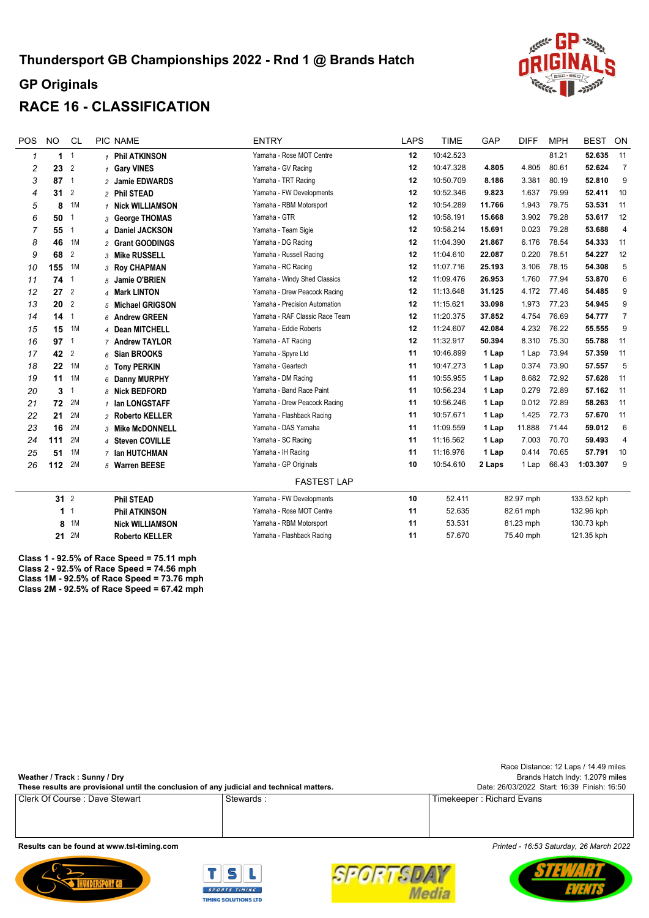

## **RACE 16 - CLASSIFICATION**

| POS | <b>NO</b>               | <b>CL</b>      | PIC NAME               | <b>ENTRY</b>                   | <b>LAPS</b> | <b>TIME</b> | <b>GAP</b> | <b>DIFF</b> | <b>MPH</b> | <b>BEST</b> | ON              |
|-----|-------------------------|----------------|------------------------|--------------------------------|-------------|-------------|------------|-------------|------------|-------------|-----------------|
| 1   | $\overline{\mathbf{1}}$ | $\overline{1}$ | 1 Phil ATKINSON        | Yamaha - Rose MOT Centre       | 12          | 10:42.523   |            |             | 81.21      | 52.635      | 11              |
| 2   | 23                      | $\overline{2}$ | 1 Gary VINES           | Yamaha - GV Racing             | 12          | 10:47.328   | 4.805      | 4.805       | 80.61      | 52.624      | $\overline{7}$  |
| 3   | $87 - 1$                |                | 2 Jamie EDWARDS        | Yamaha - TRT Racing            | 12          | 10:50.709   | 8.186      | 3.381       | 80.19      | 52.810      | 9               |
| 4   | 31                      | $\overline{2}$ | 2 Phil STEAD           | Yamaha - FW Developments       | 12          | 10:52.346   | 9.823      | 1.637       | 79.99      | 52.411      | 10              |
| 5   | 8                       | 1M             | 1 Nick WILLIAMSON      | Yamaha - RBM Motorsport        | 12          | 10:54.289   | 11.766     | 1.943       | 79.75      | 53.531      | 11              |
| 6   | 50                      |                | 3 George THOMAS        | Yamaha - GTR                   | 12          | 10:58.191   | 15.668     | 3.902       | 79.28      | 53.617      | 12              |
| 7   | 55                      | $\mathbf{1}$   | 4 Daniel JACKSON       | Yamaha - Team Sigie            | 12          | 10:58.214   | 15.691     | 0.023       | 79.28      | 53.688      | $\overline{4}$  |
| 8   | 46                      | 1M             | 2 Grant GOODINGS       | Yamaha - DG Racing             | 12          | 11:04.390   | 21.867     | 6.176       | 78.54      | 54.333      | 11              |
| 9   | 68                      | $\overline{2}$ | 3 Mike RUSSELL         | Yamaha - Russell Racing        | 12          | 11:04.610   | 22.087     | 0.220       | 78.51      | 54.227      | 12              |
| 10  | 155                     | 1M             | 3 Roy CHAPMAN          | Yamaha - RC Racing             | 12          | 11:07.716   | 25.193     | 3.106       | 78.15      | 54.308      | $\overline{5}$  |
| 11  | 74                      | -1             | Jamie O'BRIEN<br>5     | Yamaha - Windy Shed Classics   | 12          | 11:09.476   | 26.953     | 1.760       | 77.94      | 53.870      | 6               |
| 12  | $27^{2}$                |                | 4 Mark LINTON          | Yamaha - Drew Peacock Racing   | 12          | 11:13.648   | 31.125     | 4.172       | 77.46      | 54.485      | 9               |
| 13  | 20                      | $\overline{2}$ | 5 Michael GRIGSON      | Yamaha - Precision Automation  | 12          | 11:15.621   | 33.098     | 1.973       | 77.23      | 54.945      | 9               |
| 14  | 14                      | $\overline{1}$ | 6 Andrew GREEN         | Yamaha - RAF Classic Race Team | 12          | 11:20.375   | 37.852     | 4.754       | 76.69      | 54.777      | $\overline{7}$  |
| 15  | 15                      | 1M             | 4 Dean MITCHELL        | Yamaha - Eddie Roberts         | 12          | 11:24.607   | 42.084     | 4.232       | 76.22      | 55.555      | 9               |
| 16  | $97-1$                  |                | 7 Andrew TAYLOR        | Yamaha - AT Racing             | 12          | 11:32.917   | 50.394     | 8.310       | 75.30      | 55.788      | 11              |
| 17  | 42                      | 2              | 6 Sian BROOKS          | Yamaha - Spyre Ltd             | 11          | 10:46.899   | 1 Lap      | 1 Lap       | 73.94      | 57.359      | 11              |
| 18  | 22                      | 1M             | 5 Tony PERKIN          | Yamaha - Geartech              | 11          | 10:47.273   | 1 Lap      | 0.374       | 73.90      | 57.557      | 5               |
| 19  | 11                      | 1M             | 6 Danny MURPHY         | Yamaha - DM Racing             | 11          | 10:55.955   | 1 Lap      | 8.682       | 72.92      | 57.628      | 11              |
| 20  | 3                       | -1             | 8 Nick BEDFORD         | Yamaha - Band Race Paint       | 11          | 10:56.234   | 1 Lap      | 0.279       | 72.89      | 57.162      | 11              |
| 21  | 72                      | 2M             | 1 Ian LONGSTAFF        | Yamaha - Drew Peacock Racing   | 11          | 10:56.246   | 1 Lap      | 0.012       | 72.89      | 58.263      | 11              |
| 22  | 21                      | 2M             | 2 Roberto KELLER       | Yamaha - Flashback Racing      | 11          | 10:57.671   | 1 Lap      | 1.425       | 72.73      | 57.670      | 11              |
| 23  | 16                      | 2M             | 3 Mike McDONNELL       | Yamaha - DAS Yamaha            | 11          | 11:09.559   | 1 Lap      | 11.888      | 71.44      | 59.012      | $6\phantom{1}6$ |
| 24  | 111                     | 2M             | 4 Steven COVILLE       | Yamaha - SC Racing             | 11          | 11:16.562   | 1 Lap      | 7.003       | 70.70      | 59.493      | $\overline{4}$  |
| 25  | 51                      | 1M             | 7 Ian HUTCHMAN         | Yamaha - IH Racinq             | 11          | 11:16.976   | 1 Lap      | 0.414       | 70.65      | 57.791      | 10              |
| 26  | 112                     | 2M             | 5 Warren BEESE         | Yamaha - GP Originals          | 10          | 10:54.610   | 2 Laps     | 1 Lap       | 66.43      | 1:03.307    | 9               |
|     |                         |                |                        | <b>FASTEST LAP</b>             |             |             |            |             |            |             |                 |
|     | 31 <sup>2</sup>         |                | <b>Phil STEAD</b>      | Yamaha - FW Developments       | 10          | 52.411      |            | 82.97 mph   |            | 133.52 kph  |                 |
|     | 1                       | -1             | <b>Phil ATKINSON</b>   | Yamaha - Rose MOT Centre       | 11          | 52.635      |            | 82.61 mph   |            | 132.96 kph  |                 |
|     | 8                       | 1M             | <b>Nick WILLIAMSON</b> | Yamaha - RBM Motorsport        | 11          | 53.531      |            | 81.23 mph   |            | 130.73 kph  |                 |
|     | 21                      | 2M             | <b>Roberto KELLER</b>  | Yamaha - Flashback Racing      | 11          | 57.670      |            | 75.40 mph   |            | 121.35 kph  |                 |
|     |                         |                |                        |                                |             |             |            |             |            |             |                 |

**Class 1 - 92.5% of Race Speed = 75.11 mph Class 2 - 92.5% of Race Speed = 74.56 mph [Class 1M - 92.5% of Race Speed = 73.76 mph](http://www.tsl-timing.com) Class 2M - 92.5% of Race Speed = 67.42 mph**

| Weather / Track: Sunny / Dry<br>These results are provisional until the conclusion of any judicial and technical matters. |           | Race Distance: 12 Laps / 14.49 miles<br>Brands Hatch Indy: 1.2079 miles<br>Date: 26/03/2022 Start: 16:39 Finish: 16:50 |
|---------------------------------------------------------------------------------------------------------------------------|-----------|------------------------------------------------------------------------------------------------------------------------|
| l Clerk Of Course : Dave Stewart                                                                                          | Stewards: | Timekeeper: Richard Evans                                                                                              |
|                                                                                                                           |           |                                                                                                                        |
|                                                                                                                           |           |                                                                                                                        |





SPORTS **Media** 



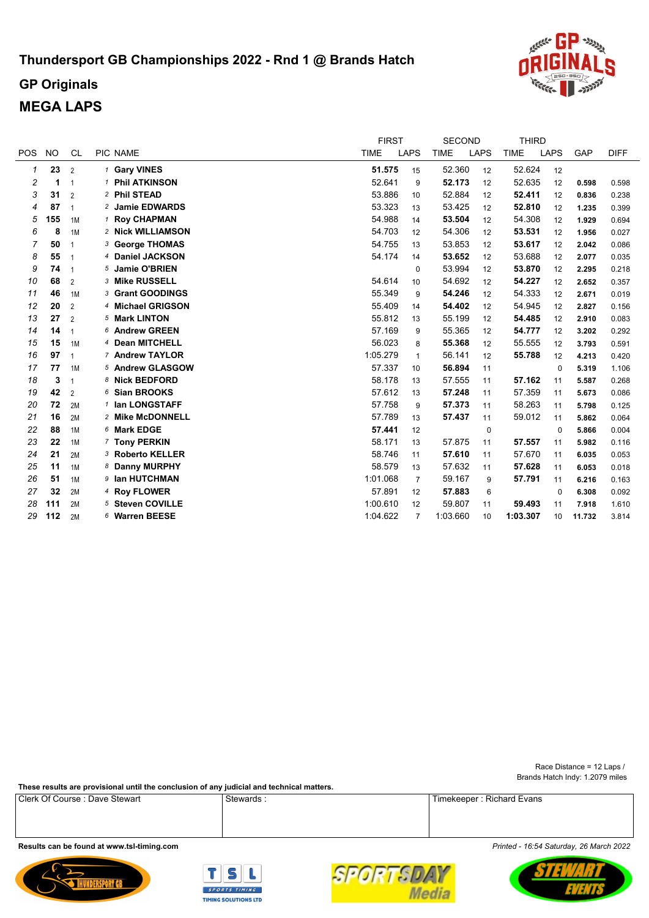# **Thundersport GB Championships 2022 - Rnd 1 @ Brands Hatch**



# **GP Originals MEGA LAPS**

|            |           |                |                         | <b>FIRST</b> |                | <b>SECOND</b> |             | <b>THIRD</b> |             |        |             |
|------------|-----------|----------------|-------------------------|--------------|----------------|---------------|-------------|--------------|-------------|--------|-------------|
| <b>POS</b> | <b>NO</b> | <b>CL</b>      | PIC NAME                | <b>TIME</b>  | <b>LAPS</b>    | <b>TIME</b>   | <b>LAPS</b> | <b>TIME</b>  | <b>LAPS</b> | GAP    | <b>DIFF</b> |
| 1          | 23        | 2              | <sup>1</sup> Gary VINES | 51.575       | 15             | 52.360        | 12          | 52.624       | 12          |        |             |
| 2          | 1         | $\overline{1}$ | 1 Phil ATKINSON         | 52.641       | 9              | 52.173        | 12          | 52.635       | 12          | 0.598  | 0.598       |
| 3          | 31        | $\overline{2}$ | 2 Phil STEAD            | 53.886       | 10             | 52.884        | 12          | 52.411       | 12          | 0.836  | 0.238       |
| 4          | 87        | $\overline{1}$ | 2 Jamie EDWARDS         | 53.323       | 13             | 53.425        | 12          | 52.810       | 12          | 1.235  | 0.399       |
| 5          | 155       | 1M             | 1 Roy CHAPMAN           | 54.988       | 14             | 53.504        | 12          | 54.308       | 12          | 1.929  | 0.694       |
| 6          | 8         | 1M             | 2 Nick WILLIAMSON       | 54.703       | 12             | 54.306        | 12          | 53.531       | 12          | 1.956  | 0.027       |
| 7          | 50        | 1              | 3 George THOMAS         | 54.755       | 13             | 53.853        | 12          | 53.617       | 12          | 2.042  | 0.086       |
| 8          | 55        | -1             | 4 Daniel JACKSON        | 54.174       | 14             | 53.652        | 12          | 53.688       | 12          | 2.077  | 0.035       |
| 9          | 74        | $\overline{1}$ | 5 Jamie O'BRIEN         |              | $\mathbf 0$    | 53.994        | 12          | 53.870       | 12          | 2.295  | 0.218       |
| 10         | 68        | $\overline{2}$ | 3 Mike RUSSELL          | 54.614       | 10             | 54.692        | 12          | 54.227       | 12          | 2.652  | 0.357       |
| 11         | 46        | 1M             | 3 Grant GOODINGS        | 55.349       | 9              | 54.246        | 12          | 54.333       | 12          | 2.671  | 0.019       |
| 12         | 20        | $\overline{2}$ | 4 Michael GRIGSON       | 55.409       | 14             | 54.402        | 12          | 54.945       | 12          | 2.827  | 0.156       |
| 13         | 27        | $\overline{2}$ | 5 Mark LINTON           | 55.812       | 13             | 55.199        | 12          | 54.485       | 12          | 2.910  | 0.083       |
| 14         | 14        | 1              | 6 Andrew GREEN          | 57.169       | 9              | 55.365        | 12          | 54.777       | 12          | 3.202  | 0.292       |
| 15         | 15        | 1M             | 4 Dean MITCHELL         | 56.023       | 8              | 55.368        | 12          | 55.555       | 12          | 3.793  | 0.591       |
| 16         | 97        | $\overline{1}$ | 7 Andrew TAYLOR         | 1:05.279     | $\mathbf{1}$   | 56.141        | 12          | 55.788       | 12          | 4.213  | 0.420       |
| 17         | 77        | 1M             | 5 Andrew GLASGOW        | 57.337       | 10             | 56.894        | 11          |              | $\mathbf 0$ | 5.319  | 1.106       |
| 18         | 3         | $\overline{1}$ | 8 Nick BEDFORD          | 58.178       | 13             | 57.555        | 11          | 57.162       | 11          | 5.587  | 0.268       |
| 19         | 42        | $\overline{2}$ | 6 Sian BROOKS           | 57.612       | 13             | 57.248        | 11          | 57.359       | 11          | 5.673  | 0.086       |
| 20         | 72        | 2M             | 1 Ian LONGSTAFF         | 57.758       | 9              | 57.373        | 11          | 58.263       | 11          | 5.798  | 0.125       |
| 21         | 16        | 2M             | 2 Mike McDONNELL        | 57.789       | 13             | 57.437        | 11          | 59.012       | 11          | 5.862  | 0.064       |
| 22         | 88        | 1M             | 6 Mark EDGE             | 57.441       | 12             |               | $\mathbf 0$ |              | $\mathbf 0$ | 5.866  | 0.004       |
| 23         | 22        | 1M             | 7 Tony PERKIN           | 58.171       | 13             | 57.875        | 11          | 57.557       | 11          | 5.982  | 0.116       |
| 24         | 21        | 2M             | 3 Roberto KELLER        | 58.746       | 11             | 57.610        | 11          | 57.670       | 11          | 6.035  | 0.053       |
| 25         | 11        | 1M             | 8 Danny MURPHY          | 58.579       | 13             | 57.632        | 11          | 57.628       | 11          | 6.053  | 0.018       |
| 26         | 51        | 1M             | 9 Ian HUTCHMAN          | 1:01.068     | $\overline{7}$ | 59.167        | 9           | 57.791       | 11          | 6.216  | 0.163       |
| 27         | 32        | 2M             | 4 Roy FLOWER            | 57.891       | 12             | 57.883        | 6           |              | $\mathbf 0$ | 6.308  | 0.092       |
| 28         | 111       | 2M             | 5 Steven COVILLE        | 1:00.610     | 12             | 59.807        | 11          | 59.493       | 11          | 7.918  | 1.610       |
| 29         | 112       | 2M             | 6 Warren BEESE          | 1:04.622     | $\overline{7}$ | 1:03.660      | 10          | 1:03.307     | 10          | 11.732 | 3.814       |

[Brands Hatch Indy: 1.2079 miles](http://www.tsl-timing.com) [Race Distance = 12 Laps /](http://www.tsl-timing.com) 

**[These results are provisional until the conclusion of any judicial and technical matters.](http://www.tsl-timing.com)**

[Clerk Of Course : Dave Stewart](http://www.tsl-timing.com) Stewart Stewards : [Stewards : Timekeeper : Richard Evans](http://www.tsl-timing.com)

**[Results can be found at www.tsl-timing.com](http://www.tsl-timing.com)** *[Printed - 16:54 Saturday, 26 March 2022](http://www.tsl-timing.com)*







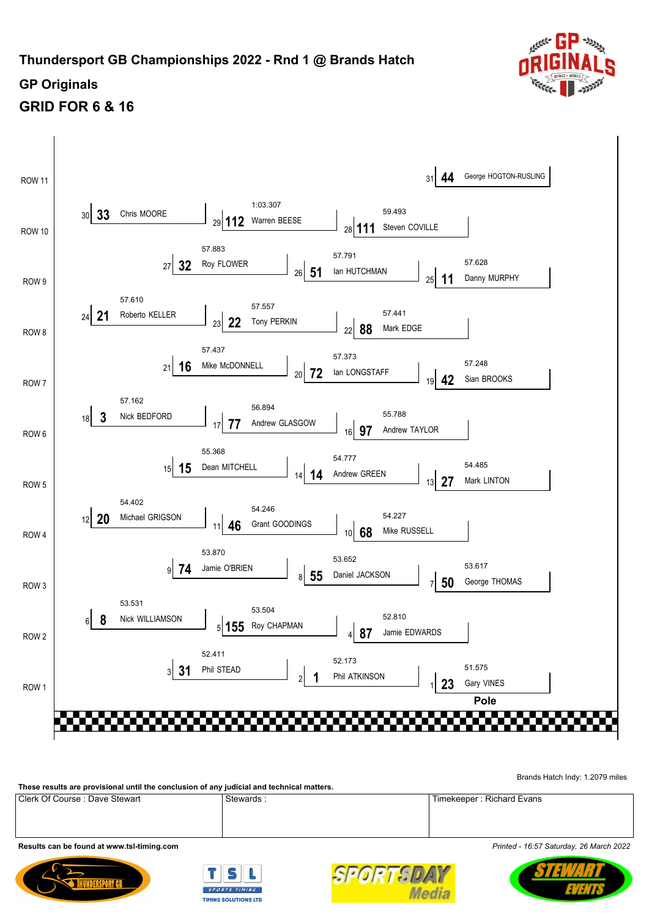# **Thundersport GB Championships 2022 - Rnd 1 @ Brands Hatch**



# **GP Originals GRID FOR 6 & 16**



[Brands Hatch Indy: 1.2079 miles](http://www.tsl-timing.com)

**[These results are provisional until the conclusion of any judicial and technical matters.](http://www.tsl-timing.com)**

[Clerk Of Course : Dave Stewart](http://www.tsl-timing.com) Stewards : [Stewards : Timekeeper : Richard Evans](http://www.tsl-timing.com)

**[Results can be found at www.tsl-timing.com](http://www.tsl-timing.com)** *[Printed - 16:57 Saturday, 26 March 2022](http://www.tsl-timing.com)*







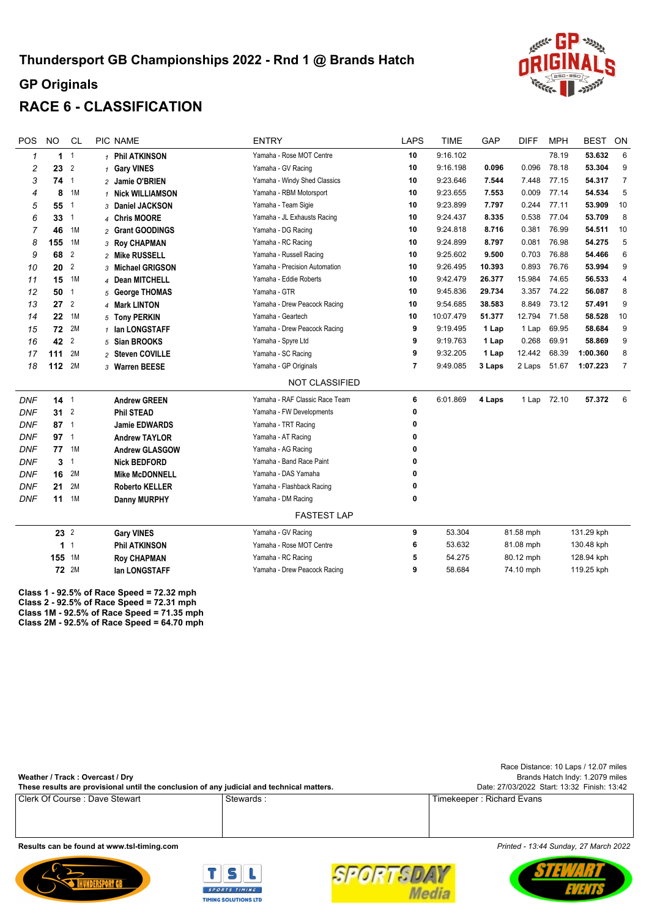

# **RACE 6 - CLASSIFICATION**

| <b>POS</b>   | <b>NO</b>       | <b>CL</b>      | PIC NAME              | <b>ENTRY</b>                   | <b>LAPS</b>    | <b>TIME</b> | GAP    | <b>DIFF</b> | <b>MPH</b>  | <b>BEST</b> | ON             |
|--------------|-----------------|----------------|-----------------------|--------------------------------|----------------|-------------|--------|-------------|-------------|-------------|----------------|
| $\mathbf{1}$ | 1 <sup>1</sup>  |                | 1 Phil ATKINSON       | Yamaha - Rose MOT Centre       | 10             | 9:16.102    |        |             | 78.19       | 53.632      | $\,6$          |
| 2            | 23              | $\overline{2}$ | 1 Gary VINES          | Yamaha - GV Racing             | 10             | 9:16.198    | 0.096  | 0.096       | 78.18       | 53.304      | 9              |
| 3            | 74              | $\overline{1}$ | 2 Jamie O'BRIEN       | Yamaha - Windy Shed Classics   | 10             | 9:23.646    | 7.544  | 7.448       | 77.15       | 54.317      | $\overline{7}$ |
| 4            | 8               | 1M             | 1 Nick WILLIAMSON     | Yamaha - RBM Motorsport        | 10             | 9:23.655    | 7.553  | 0.009       | 77.14       | 54.534      | 5              |
| 5            | 55              | $\mathbf{1}$   | 3 Daniel JACKSON      | Yamaha - Team Sigie            | 10             | 9:23.899    | 7.797  | 0.244       | 77.11       | 53.909      | 10             |
| 6            | 33              | $\overline{1}$ | 4 Chris MOORE         | Yamaha - JL Exhausts Racing    | 10             | 9:24.437    | 8.335  | 0.538       | 77.04       | 53.709      | 8              |
| 7            | 46              | 1M             | 2 Grant GOODINGS      | Yamaha - DG Racing             | 10             | 9:24.818    | 8.716  | 0.381       | 76.99       | 54.511      | 10             |
| 8            | 155             | 1M             | 3 Roy CHAPMAN         | Yamaha - RC Racing             | 10             | 9:24.899    | 8.797  | 0.081       | 76.98       | 54.275      | 5              |
| 9            | 68              | $\overline{2}$ | 2 Mike RUSSELL        | Yamaha - Russell Racing        | 10             | 9:25.602    | 9.500  | 0.703       | 76.88       | 54.466      | 6              |
| 10           | 20              | $\overline{2}$ | 3 Michael GRIGSON     | Yamaha - Precision Automation  | 10             | 9:26.495    | 10.393 | 0.893       | 76.76       | 53.994      | 9              |
| 11           | 15              | 1M             | 4 Dean MITCHELL       | Yamaha - Eddie Roberts         | 10             | 9:42.479    | 26.377 | 15.984      | 74.65       | 56.533      | 4              |
| 12           | 50              | $\mathbf{1}$   | 5 George THOMAS       | Yamaha - GTR                   | 10             | 9:45.836    | 29.734 | 3.357       | 74.22       | 56.087      | 8              |
| 13           | 27              | $\overline{2}$ | 4 Mark LINTON         | Yamaha - Drew Peacock Racing   | 10             | 9:54.685    | 38.583 | 8.849       | 73.12       | 57.491      | 9              |
| 14           | 22              | 1M             | 5 Tony PERKIN         | Yamaha - Geartech              | 10             | 10:07.479   | 51.377 | 12.794      | 71.58       | 58.528      | 10             |
| 15           | 72              | 2M             | 1 Ian LONGSTAFF       | Yamaha - Drew Peacock Racing   | 9              | 9:19.495    | 1 Lap  | 1 Lap       | 69.95       | 58.684      | 9              |
| 16           | 42              | $\overline{2}$ | 5 Sian BROOKS         | Yamaha - Spyre Ltd             | 9              | 9:19.763    | 1 Lap  | 0.268       | 69.91       | 58.869      | 9              |
| 17           | 111             | 2M             | 2 Steven COVILLE      | Yamaha - SC Racing             | 9              | 9:32.205    | 1 Lap  | 12.442      | 68.39       | 1:00.360    | 8              |
| 18           | 112             | 2M             | 3 Warren BEESE        | Yamaha - GP Originals          | $\overline{7}$ | 9:49.085    | 3 Laps | 2 Laps      | 51.67       | 1:07.223    | $\overline{7}$ |
|              |                 |                |                       | <b>NOT CLASSIFIED</b>          |                |             |        |             |             |             |                |
| <b>DNF</b>   | $14-1$          |                | <b>Andrew GREEN</b>   | Yamaha - RAF Classic Race Team | 6              | 6:01.869    | 4 Laps |             | 1 Lap 72.10 | 57.372      | 6              |
| <b>DNF</b>   | 31 <sup>2</sup> |                | <b>Phil STEAD</b>     | Yamaha - FW Developments       | 0              |             |        |             |             |             |                |
| <b>DNF</b>   | 87 1            |                | <b>Jamie EDWARDS</b>  | Yamaha - TRT Racing            | 0              |             |        |             |             |             |                |
| <b>DNF</b>   | $97-1$          |                | <b>Andrew TAYLOR</b>  | Yamaha - AT Racing             | 0              |             |        |             |             |             |                |
| <b>DNF</b>   | 77              | 1M             | <b>Andrew GLASGOW</b> | Yamaha - AG Racing             | 0              |             |        |             |             |             |                |
| <b>DNF</b>   | 3               | $\mathbf{1}$   | <b>Nick BEDFORD</b>   | Yamaha - Band Race Paint       | 0              |             |        |             |             |             |                |
| <b>DNF</b>   | 16              | 2M             | <b>Mike McDONNELL</b> | Yamaha - DAS Yamaha            | 0              |             |        |             |             |             |                |
| <b>DNF</b>   | 21              | 2M             | <b>Roberto KELLER</b> | Yamaha - Flashback Racing      | 0              |             |        |             |             |             |                |
| <b>DNF</b>   | 11              | 1M             | <b>Danny MURPHY</b>   | Yamaha - DM Racing             | 0              |             |        |             |             |             |                |
|              |                 |                |                       | <b>FASTEST LAP</b>             |                |             |        |             |             |             |                |
|              | $23^{2}$        |                | <b>Gary VINES</b>     | Yamaha - GV Racing             | 9              | 53.304      |        | 81.58 mph   |             | 131.29 kph  |                |
|              | 1               | $\mathbf{1}$   | <b>Phil ATKINSON</b>  | Yamaha - Rose MOT Centre       | 6              | 53.632      |        | 81.08 mph   |             | 130.48 kph  |                |
|              | 155 1M          |                | <b>Roy CHAPMAN</b>    | Yamaha - RC Racing             | 5              | 54.275      |        | 80.12 mph   |             | 128.94 kph  |                |
|              |                 | <b>72</b> 2M   | lan LONGSTAFF         | Yamaha - Drew Peacock Racing   | 9              | 58.684      |        | 74.10 mph   |             | 119.25 kph  |                |
|              |                 |                |                       |                                |                |             |        |             |             |             |                |

**Class 1 - 92.5% of Race Speed = 72.32 mph Class 2 - 92.5% of Race Speed = 72.31 mph [Class 1M - 92.5% of Race Speed = 71.35 mph](http://www.tsl-timing.com) Class 2M - 92.5% of Race Speed = 64.70 mph**

[Clerk Of Course : Dave Stewart](http://www.tsl-timing.com) Stewards : [Stewards : Timekeeper : Richard Evans](http://www.tsl-timing.com) [Brands Hatch Indy: 1.2079 miles](http://www.tsl-timing.com) **[These results are provisional until the conclusion of any judicial and technical matters.](http://www.tsl-timing.com) [Weather / Track : Overcast / Dry](http://www.tsl-timing.com)** [Date: 27/03/2022 Start: 13:32 Finish: 13:42](http://www.tsl-timing.com) [Race Distance: 10 Laps / 12.07 miles](http://www.tsl-timing.com)

**[Results can be found at www.tsl-timing.com](http://www.tsl-timing.com)** *[Printed - 13:44 Sunday, 27 March 2022](http://www.tsl-timing.com)*





SPORTSL **Media**